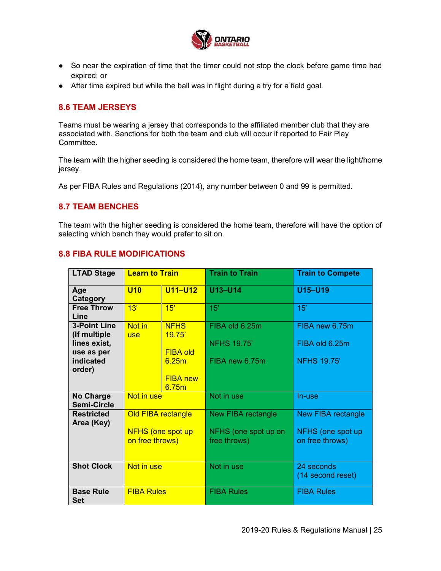

- So near the expiration of time that the timer could not stop the clock before game time had expired; or
- After time expired but while the ball was in flight during a try for a field goal.

## **8.6 TEAM JERSEYS**

Teams must be wearing a jersey that corresponds to the affiliated member club that they are associated with. Sanctions for both the team and club will occur if reported to Fair Play Committee.

The team with the higher seeding is considered the home team, therefore will wear the light/home jersey.

As per FIBA Rules and Regulations (2014), any number between 0 and 99 is permitted.

## **8.7 TEAM BENCHES**

The team with the higher seeding is considered the home team, therefore will have the option of selecting which bench they would prefer to sit on.

## **8.8 FIBA RULE MODIFICATIONS**

| <b>LTAD Stage</b>                      | <b>Learn to Train</b>                       |                          | <b>Train to Train</b>                | <b>Train to Compete</b>              |
|----------------------------------------|---------------------------------------------|--------------------------|--------------------------------------|--------------------------------------|
| Age<br>Category                        | <b>U10</b>                                  | <b>U11-U12</b>           | U13-U14                              | U15-U19                              |
| <b>Free Throw</b><br>Line              | 13'                                         | 15'                      | 15'                                  | 15'                                  |
| <b>3-Point Line</b><br>(If multiple    | Not in<br><b>use</b>                        | <b>NFHS</b><br>19.75'    | FIBA old 6.25m                       | FIBA new 6.75m                       |
| lines exist,<br>use as per             |                                             | <b>FIBA old</b>          | <b>NFHS 19.75'</b>                   | FIBA old 6.25m                       |
| indicated<br>order)                    |                                             | 6.25m                    | FIBA new 6.75m                       | <b>NFHS 19.75'</b>                   |
|                                        |                                             | <b>FIBA new</b><br>6.75m |                                      |                                      |
| <b>No Charge</b><br><b>Semi-Circle</b> | Not in use                                  |                          | Not in use                           | In-use                               |
| <b>Restricted</b><br>Area (Key)        | <b>Old FIBA rectangle</b>                   |                          | <b>New FIBA rectangle</b>            | <b>New FIBA rectangle</b>            |
|                                        | <b>NFHS (one spot up</b><br>on free throws) |                          | NFHS (one spot up on<br>free throws) | NFHS (one spot up<br>on free throws) |
| <b>Shot Clock</b>                      | Not in use                                  |                          | Not in use                           | 24 seconds<br>(14 second reset)      |
| <b>Base Rule</b><br><b>Set</b>         | <b>FIBA Rules</b>                           |                          | <b>FIBA Rules</b>                    | <b>FIBA Rules</b>                    |